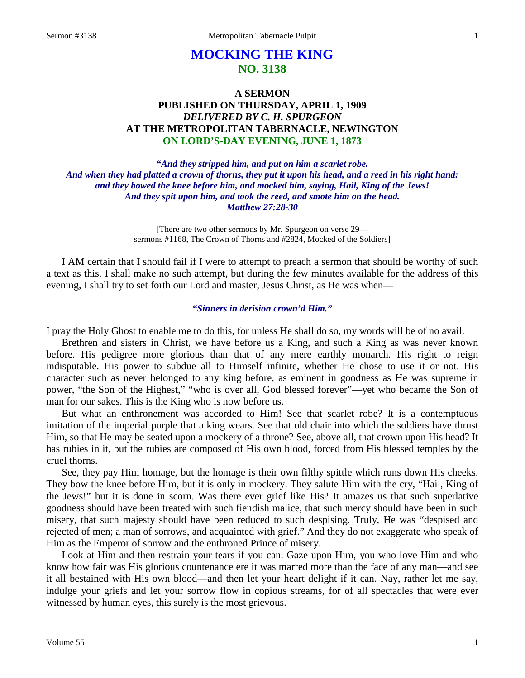# **MOCKING THE KING NO. 3138**

## **A SERMON PUBLISHED ON THURSDAY, APRIL 1, 1909** *DELIVERED BY C. H. SPURGEON* **AT THE METROPOLITAN TABERNACLE, NEWINGTON ON LORD'S-DAY EVENING, JUNE 1, 1873**

*"And they stripped him, and put on him a scarlet robe. And when they had platted a crown of thorns, they put it upon his head, and a reed in his right hand: and they bowed the knee before him, and mocked him, saying, Hail, King of the Jews! And they spit upon him, and took the reed, and smote him on the head. Matthew 27:28-30*

> [There are two other sermons by Mr. Spurgeon on verse 29 sermons #1168, The Crown of Thorns and #2824, Mocked of the Soldiers]

I AM certain that I should fail if I were to attempt to preach a sermon that should be worthy of such a text as this. I shall make no such attempt, but during the few minutes available for the address of this evening, I shall try to set forth our Lord and master, Jesus Christ, as He was when—

### *"Sinners in derision crown'd Him."*

I pray the Holy Ghost to enable me to do this, for unless He shall do so, my words will be of no avail.

Brethren and sisters in Christ, we have before us a King, and such a King as was never known before. His pedigree more glorious than that of any mere earthly monarch. His right to reign indisputable. His power to subdue all to Himself infinite, whether He chose to use it or not. His character such as never belonged to any king before, as eminent in goodness as He was supreme in power, "the Son of the Highest," "who is over all, God blessed forever"—yet who became the Son of man for our sakes. This is the King who is now before us.

But what an enthronement was accorded to Him! See that scarlet robe? It is a contemptuous imitation of the imperial purple that a king wears. See that old chair into which the soldiers have thrust Him, so that He may be seated upon a mockery of a throne? See, above all, that crown upon His head? It has rubies in it, but the rubies are composed of His own blood, forced from His blessed temples by the cruel thorns.

See, they pay Him homage, but the homage is their own filthy spittle which runs down His cheeks. They bow the knee before Him, but it is only in mockery. They salute Him with the cry, "Hail, King of the Jews!" but it is done in scorn. Was there ever grief like His? It amazes us that such superlative goodness should have been treated with such fiendish malice, that such mercy should have been in such misery, that such majesty should have been reduced to such despising. Truly, He was "despised and rejected of men; a man of sorrows, and acquainted with grief." And they do not exaggerate who speak of Him as the Emperor of sorrow and the enthroned Prince of misery.

Look at Him and then restrain your tears if you can. Gaze upon Him, you who love Him and who know how fair was His glorious countenance ere it was marred more than the face of any man—and see it all bestained with His own blood—and then let your heart delight if it can. Nay, rather let me say, indulge your griefs and let your sorrow flow in copious streams, for of all spectacles that were ever witnessed by human eyes, this surely is the most grievous.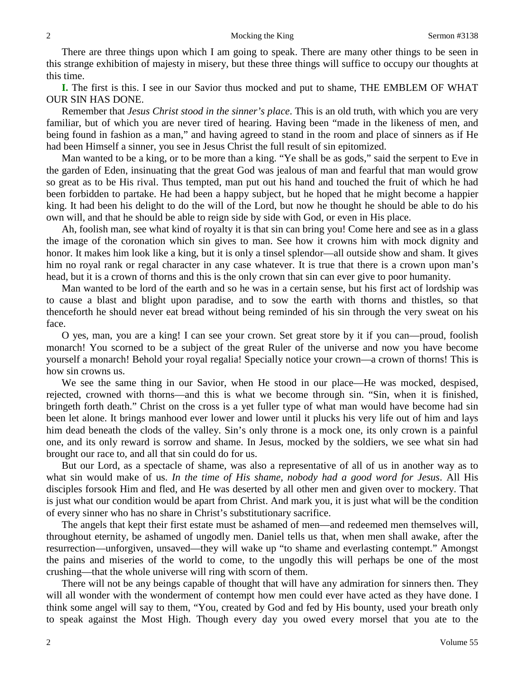There are three things upon which I am going to speak. There are many other things to be seen in this strange exhibition of majesty in misery, but these three things will suffice to occupy our thoughts at this time.

**I.** The first is this. I see in our Savior thus mocked and put to shame, THE EMBLEM OF WHAT OUR SIN HAS DONE.

Remember that *Jesus Christ stood in the sinner's place*. This is an old truth, with which you are very familiar, but of which you are never tired of hearing. Having been "made in the likeness of men, and being found in fashion as a man," and having agreed to stand in the room and place of sinners as if He had been Himself a sinner, you see in Jesus Christ the full result of sin epitomized.

Man wanted to be a king, or to be more than a king. "Ye shall be as gods," said the serpent to Eve in the garden of Eden, insinuating that the great God was jealous of man and fearful that man would grow so great as to be His rival. Thus tempted, man put out his hand and touched the fruit of which he had been forbidden to partake. He had been a happy subject, but he hoped that he might become a happier king. It had been his delight to do the will of the Lord, but now he thought he should be able to do his own will, and that he should be able to reign side by side with God, or even in His place.

Ah, foolish man, see what kind of royalty it is that sin can bring you! Come here and see as in a glass the image of the coronation which sin gives to man. See how it crowns him with mock dignity and honor. It makes him look like a king, but it is only a tinsel splendor—all outside show and sham. It gives him no royal rank or regal character in any case whatever. It is true that there is a crown upon man's head, but it is a crown of thorns and this is the only crown that sin can ever give to poor humanity.

Man wanted to be lord of the earth and so he was in a certain sense, but his first act of lordship was to cause a blast and blight upon paradise, and to sow the earth with thorns and thistles, so that thenceforth he should never eat bread without being reminded of his sin through the very sweat on his face.

O yes, man, you are a king! I can see your crown. Set great store by it if you can—proud, foolish monarch! You scorned to be a subject of the great Ruler of the universe and now you have become yourself a monarch! Behold your royal regalia! Specially notice your crown—a crown of thorns! This is how sin crowns us.

We see the same thing in our Savior, when He stood in our place—He was mocked, despised, rejected, crowned with thorns—and this is what we become through sin. "Sin, when it is finished, bringeth forth death." Christ on the cross is a yet fuller type of what man would have become had sin been let alone. It brings manhood ever lower and lower until it plucks his very life out of him and lays him dead beneath the clods of the valley. Sin's only throne is a mock one, its only crown is a painful one, and its only reward is sorrow and shame. In Jesus, mocked by the soldiers, we see what sin had brought our race to, and all that sin could do for us.

But our Lord, as a spectacle of shame, was also a representative of all of us in another way as to what sin would make of us. *In the time of His shame, nobody had a good word for Jesus*. All His disciples forsook Him and fled, and He was deserted by all other men and given over to mockery. That is just what our condition would be apart from Christ. And mark you, it is just what will be the condition of every sinner who has no share in Christ's substitutionary sacrifice.

The angels that kept their first estate must be ashamed of men—and redeemed men themselves will, throughout eternity, be ashamed of ungodly men. Daniel tells us that, when men shall awake, after the resurrection—unforgiven, unsaved—they will wake up "to shame and everlasting contempt." Amongst the pains and miseries of the world to come, to the ungodly this will perhaps be one of the most crushing—that the whole universe will ring with scorn of them.

There will not be any beings capable of thought that will have any admiration for sinners then. They will all wonder with the wonderment of contempt how men could ever have acted as they have done. I think some angel will say to them, "You, created by God and fed by His bounty, used your breath only to speak against the Most High. Though every day you owed every morsel that you ate to the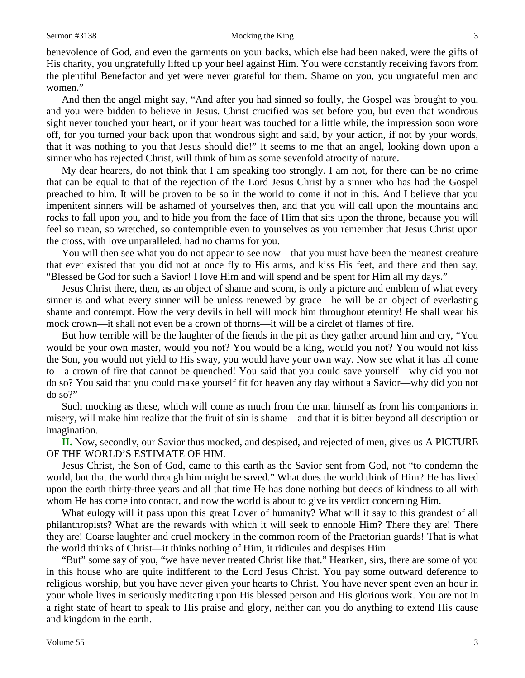benevolence of God, and even the garments on your backs, which else had been naked, were the gifts of His charity, you ungratefully lifted up your heel against Him. You were constantly receiving favors from the plentiful Benefactor and yet were never grateful for them. Shame on you, you ungrateful men and women."

And then the angel might say, "And after you had sinned so foully, the Gospel was brought to you, and you were bidden to believe in Jesus. Christ crucified was set before you, but even that wondrous sight never touched your heart, or if your heart was touched for a little while, the impression soon wore off, for you turned your back upon that wondrous sight and said, by your action, if not by your words, that it was nothing to you that Jesus should die!" It seems to me that an angel, looking down upon a sinner who has rejected Christ, will think of him as some sevenfold atrocity of nature.

My dear hearers, do not think that I am speaking too strongly. I am not, for there can be no crime that can be equal to that of the rejection of the Lord Jesus Christ by a sinner who has had the Gospel preached to him. It will be proven to be so in the world to come if not in this. And I believe that you impenitent sinners will be ashamed of yourselves then, and that you will call upon the mountains and rocks to fall upon you, and to hide you from the face of Him that sits upon the throne, because you will feel so mean, so wretched, so contemptible even to yourselves as you remember that Jesus Christ upon the cross, with love unparalleled, had no charms for you.

You will then see what you do not appear to see now—that you must have been the meanest creature that ever existed that you did not at once fly to His arms, and kiss His feet, and there and then say, "Blessed be God for such a Savior! I love Him and will spend and be spent for Him all my days."

Jesus Christ there, then, as an object of shame and scorn, is only a picture and emblem of what every sinner is and what every sinner will be unless renewed by grace—he will be an object of everlasting shame and contempt. How the very devils in hell will mock him throughout eternity! He shall wear his mock crown—it shall not even be a crown of thorns—it will be a circlet of flames of fire.

But how terrible will be the laughter of the fiends in the pit as they gather around him and cry, "You would be your own master, would you not? You would be a king, would you not? You would not kiss the Son, you would not yield to His sway, you would have your own way. Now see what it has all come to—a crown of fire that cannot be quenched! You said that you could save yourself—why did you not do so? You said that you could make yourself fit for heaven any day without a Savior—why did you not do so?"

Such mocking as these, which will come as much from the man himself as from his companions in misery, will make him realize that the fruit of sin is shame—and that it is bitter beyond all description or imagination.

**II.** Now, secondly, our Savior thus mocked, and despised, and rejected of men, gives us A PICTURE OF THE WORLD'S ESTIMATE OF HIM.

Jesus Christ, the Son of God, came to this earth as the Savior sent from God, not "to condemn the world, but that the world through him might be saved." What does the world think of Him? He has lived upon the earth thirty-three years and all that time He has done nothing but deeds of kindness to all with whom He has come into contact, and now the world is about to give its verdict concerning Him.

What eulogy will it pass upon this great Lover of humanity? What will it say to this grandest of all philanthropists? What are the rewards with which it will seek to ennoble Him? There they are! There they are! Coarse laughter and cruel mockery in the common room of the Praetorian guards! That is what the world thinks of Christ—it thinks nothing of Him, it ridicules and despises Him.

"But" some say of you, "we have never treated Christ like that." Hearken, sirs, there are some of you in this house who are quite indifferent to the Lord Jesus Christ. You pay some outward deference to religious worship, but you have never given your hearts to Christ. You have never spent even an hour in your whole lives in seriously meditating upon His blessed person and His glorious work. You are not in a right state of heart to speak to His praise and glory, neither can you do anything to extend His cause and kingdom in the earth.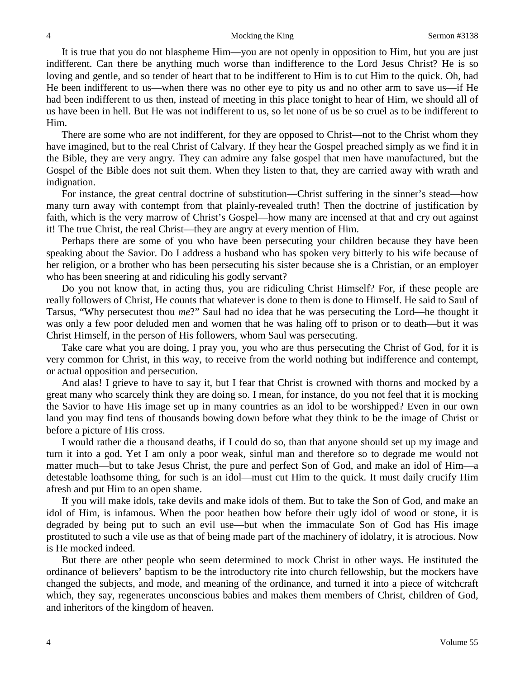It is true that you do not blaspheme Him—you are not openly in opposition to Him, but you are just indifferent. Can there be anything much worse than indifference to the Lord Jesus Christ? He is so loving and gentle, and so tender of heart that to be indifferent to Him is to cut Him to the quick. Oh, had He been indifferent to us—when there was no other eye to pity us and no other arm to save us—if He had been indifferent to us then, instead of meeting in this place tonight to hear of Him, we should all of us have been in hell. But He was not indifferent to us, so let none of us be so cruel as to be indifferent to Him.

There are some who are not indifferent, for they are opposed to Christ—not to the Christ whom they have imagined, but to the real Christ of Calvary. If they hear the Gospel preached simply as we find it in the Bible, they are very angry. They can admire any false gospel that men have manufactured, but the Gospel of the Bible does not suit them. When they listen to that, they are carried away with wrath and indignation.

For instance, the great central doctrine of substitution—Christ suffering in the sinner's stead—how many turn away with contempt from that plainly-revealed truth! Then the doctrine of justification by faith, which is the very marrow of Christ's Gospel—how many are incensed at that and cry out against it! The true Christ, the real Christ—they are angry at every mention of Him.

Perhaps there are some of you who have been persecuting your children because they have been speaking about the Savior. Do I address a husband who has spoken very bitterly to his wife because of her religion, or a brother who has been persecuting his sister because she is a Christian, or an employer who has been sneering at and ridiculing his godly servant?

Do you not know that, in acting thus, you are ridiculing Christ Himself? For, if these people are really followers of Christ, He counts that whatever is done to them is done to Himself. He said to Saul of Tarsus, "Why persecutest thou *me*?" Saul had no idea that he was persecuting the Lord—he thought it was only a few poor deluded men and women that he was haling off to prison or to death—but it was Christ Himself, in the person of His followers, whom Saul was persecuting.

Take care what you are doing, I pray you, you who are thus persecuting the Christ of God, for it is very common for Christ, in this way, to receive from the world nothing but indifference and contempt, or actual opposition and persecution.

And alas! I grieve to have to say it, but I fear that Christ is crowned with thorns and mocked by a great many who scarcely think they are doing so. I mean, for instance, do you not feel that it is mocking the Savior to have His image set up in many countries as an idol to be worshipped? Even in our own land you may find tens of thousands bowing down before what they think to be the image of Christ or before a picture of His cross.

I would rather die a thousand deaths, if I could do so, than that anyone should set up my image and turn it into a god. Yet I am only a poor weak, sinful man and therefore so to degrade me would not matter much—but to take Jesus Christ, the pure and perfect Son of God, and make an idol of Him—a detestable loathsome thing, for such is an idol—must cut Him to the quick. It must daily crucify Him afresh and put Him to an open shame.

If you will make idols, take devils and make idols of them. But to take the Son of God, and make an idol of Him, is infamous. When the poor heathen bow before their ugly idol of wood or stone, it is degraded by being put to such an evil use—but when the immaculate Son of God has His image prostituted to such a vile use as that of being made part of the machinery of idolatry, it is atrocious. Now is He mocked indeed.

But there are other people who seem determined to mock Christ in other ways. He instituted the ordinance of believers' baptism to be the introductory rite into church fellowship, but the mockers have changed the subjects, and mode, and meaning of the ordinance, and turned it into a piece of witchcraft which, they say, regenerates unconscious babies and makes them members of Christ, children of God, and inheritors of the kingdom of heaven.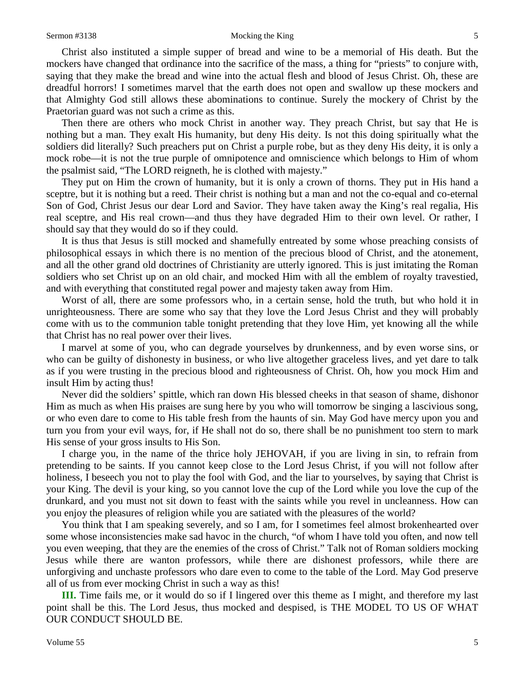Christ also instituted a simple supper of bread and wine to be a memorial of His death. But the mockers have changed that ordinance into the sacrifice of the mass, a thing for "priests" to conjure with, saying that they make the bread and wine into the actual flesh and blood of Jesus Christ. Oh, these are dreadful horrors! I sometimes marvel that the earth does not open and swallow up these mockers and that Almighty God still allows these abominations to continue. Surely the mockery of Christ by the Praetorian guard was not such a crime as this.

Then there are others who mock Christ in another way. They preach Christ, but say that He is nothing but a man. They exalt His humanity, but deny His deity. Is not this doing spiritually what the soldiers did literally? Such preachers put on Christ a purple robe, but as they deny His deity, it is only a mock robe—it is not the true purple of omnipotence and omniscience which belongs to Him of whom the psalmist said, "The LORD reigneth, he is clothed with majesty."

They put on Him the crown of humanity, but it is only a crown of thorns. They put in His hand a sceptre, but it is nothing but a reed. Their christ is nothing but a man and not the co-equal and co-eternal Son of God, Christ Jesus our dear Lord and Savior. They have taken away the King's real regalia, His real sceptre, and His real crown—and thus they have degraded Him to their own level. Or rather, I should say that they would do so if they could.

It is thus that Jesus is still mocked and shamefully entreated by some whose preaching consists of philosophical essays in which there is no mention of the precious blood of Christ, and the atonement, and all the other grand old doctrines of Christianity are utterly ignored. This is just imitating the Roman soldiers who set Christ up on an old chair, and mocked Him with all the emblem of royalty travestied, and with everything that constituted regal power and majesty taken away from Him.

Worst of all, there are some professors who, in a certain sense, hold the truth, but who hold it in unrighteousness. There are some who say that they love the Lord Jesus Christ and they will probably come with us to the communion table tonight pretending that they love Him, yet knowing all the while that Christ has no real power over their lives.

I marvel at some of you, who can degrade yourselves by drunkenness, and by even worse sins, or who can be guilty of dishonesty in business, or who live altogether graceless lives, and yet dare to talk as if you were trusting in the precious blood and righteousness of Christ. Oh, how you mock Him and insult Him by acting thus!

Never did the soldiers' spittle, which ran down His blessed cheeks in that season of shame, dishonor Him as much as when His praises are sung here by you who will tomorrow be singing a lascivious song, or who even dare to come to His table fresh from the haunts of sin. May God have mercy upon you and turn you from your evil ways, for, if He shall not do so, there shall be no punishment too stern to mark His sense of your gross insults to His Son.

I charge you, in the name of the thrice holy JEHOVAH, if you are living in sin, to refrain from pretending to be saints. If you cannot keep close to the Lord Jesus Christ, if you will not follow after holiness, I beseech you not to play the fool with God, and the liar to yourselves, by saying that Christ is your King. The devil is your king, so you cannot love the cup of the Lord while you love the cup of the drunkard, and you must not sit down to feast with the saints while you revel in uncleanness. How can you enjoy the pleasures of religion while you are satiated with the pleasures of the world?

You think that I am speaking severely, and so I am, for I sometimes feel almost brokenhearted over some whose inconsistencies make sad havoc in the church, "of whom I have told you often, and now tell you even weeping, that they are the enemies of the cross of Christ." Talk not of Roman soldiers mocking Jesus while there are wanton professors, while there are dishonest professors, while there are unforgiving and unchaste professors who dare even to come to the table of the Lord. May God preserve all of us from ever mocking Christ in such a way as this!

**III.** Time fails me, or it would do so if I lingered over this theme as I might, and therefore my last point shall be this. The Lord Jesus, thus mocked and despised, is THE MODEL TO US OF WHAT OUR CONDUCT SHOULD BE.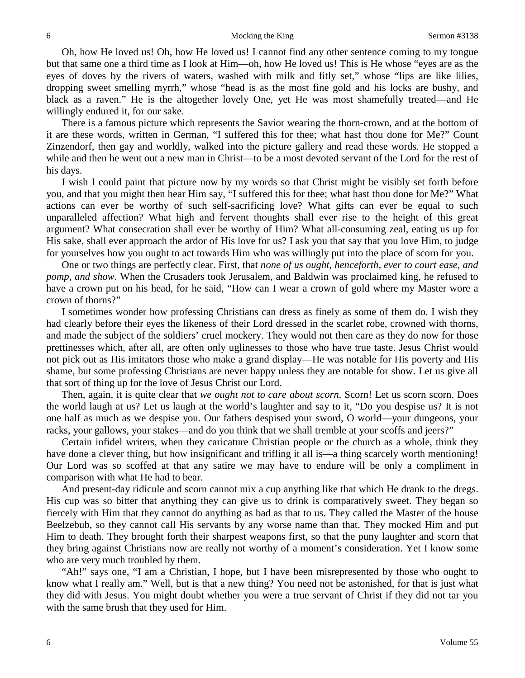Oh, how He loved us! Oh, how He loved us! I cannot find any other sentence coming to my tongue but that same one a third time as I look at Him—oh, how He loved us! This is He whose "eyes are as the eyes of doves by the rivers of waters, washed with milk and fitly set," whose "lips are like lilies, dropping sweet smelling myrrh," whose "head is as the most fine gold and his locks are bushy, and black as a raven." He is the altogether lovely One, yet He was most shamefully treated—and He willingly endured it, for our sake.

There is a famous picture which represents the Savior wearing the thorn-crown, and at the bottom of it are these words, written in German, "I suffered this for thee; what hast thou done for Me?" Count Zinzendorf, then gay and worldly, walked into the picture gallery and read these words. He stopped a while and then he went out a new man in Christ—to be a most devoted servant of the Lord for the rest of his days.

I wish I could paint that picture now by my words so that Christ might be visibly set forth before you, and that you might then hear Him say, "I suffered this for thee; what hast thou done for Me?" What actions can ever be worthy of such self-sacrificing love? What gifts can ever be equal to such unparalleled affection? What high and fervent thoughts shall ever rise to the height of this great argument? What consecration shall ever be worthy of Him? What all-consuming zeal, eating us up for His sake, shall ever approach the ardor of His love for us? I ask you that say that you love Him, to judge for yourselves how you ought to act towards Him who was willingly put into the place of scorn for you.

One or two things are perfectly clear. First, that *none of us ought, henceforth, ever to court ease, and pomp, and show*. When the Crusaders took Jerusalem, and Baldwin was proclaimed king, he refused to have a crown put on his head, for he said, "How can I wear a crown of gold where my Master wore a crown of thorns?"

I sometimes wonder how professing Christians can dress as finely as some of them do. I wish they had clearly before their eyes the likeness of their Lord dressed in the scarlet robe, crowned with thorns, and made the subject of the soldiers' cruel mockery. They would not then care as they do now for those prettinesses which, after all, are often only uglinesses to those who have true taste. Jesus Christ would not pick out as His imitators those who make a grand display—He was notable for His poverty and His shame, but some professing Christians are never happy unless they are notable for show. Let us give all that sort of thing up for the love of Jesus Christ our Lord.

Then, again, it is quite clear that *we ought not to care about scorn*. Scorn! Let us scorn scorn. Does the world laugh at us? Let us laugh at the world's laughter and say to it, "Do you despise us? It is not one half as much as we despise you. Our fathers despised your sword, O world—your dungeons, your racks, your gallows, your stakes—and do you think that we shall tremble at your scoffs and jeers?"

Certain infidel writers, when they caricature Christian people or the church as a whole, think they have done a clever thing, but how insignificant and trifling it all is—a thing scarcely worth mentioning! Our Lord was so scoffed at that any satire we may have to endure will be only a compliment in comparison with what He had to bear.

And present-day ridicule and scorn cannot mix a cup anything like that which He drank to the dregs. His cup was so bitter that anything they can give us to drink is comparatively sweet. They began so fiercely with Him that they cannot do anything as bad as that to us. They called the Master of the house Beelzebub, so they cannot call His servants by any worse name than that. They mocked Him and put Him to death. They brought forth their sharpest weapons first, so that the puny laughter and scorn that they bring against Christians now are really not worthy of a moment's consideration. Yet I know some who are very much troubled by them.

"Ah!" says one, "I am a Christian, I hope, but I have been misrepresented by those who ought to know what I really am." Well, but is that a new thing? You need not be astonished, for that is just what they did with Jesus. You might doubt whether you were a true servant of Christ if they did not tar you with the same brush that they used for Him.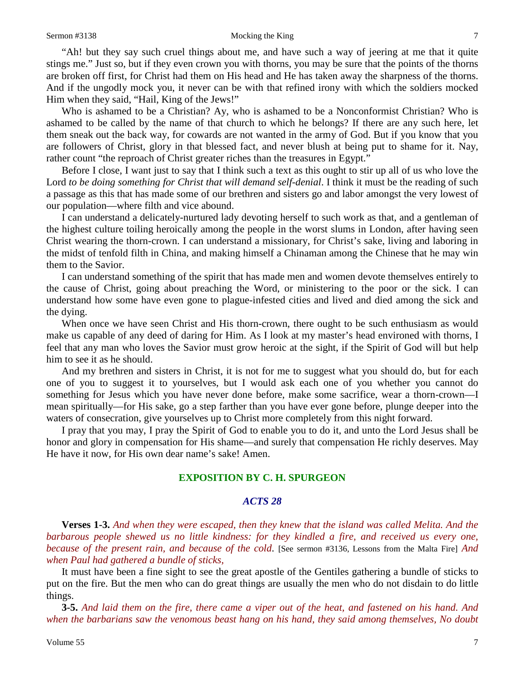#### Sermon #3138 Mocking the King 7

"Ah! but they say such cruel things about me, and have such a way of jeering at me that it quite stings me." Just so, but if they even crown you with thorns, you may be sure that the points of the thorns are broken off first, for Christ had them on His head and He has taken away the sharpness of the thorns. And if the ungodly mock you, it never can be with that refined irony with which the soldiers mocked Him when they said, "Hail, King of the Jews!"

Who is ashamed to be a Christian? Ay, who is ashamed to be a Nonconformist Christian? Who is ashamed to be called by the name of that church to which he belongs? If there are any such here, let them sneak out the back way, for cowards are not wanted in the army of God. But if you know that you are followers of Christ, glory in that blessed fact, and never blush at being put to shame for it. Nay, rather count "the reproach of Christ greater riches than the treasures in Egypt."

Before I close, I want just to say that I think such a text as this ought to stir up all of us who love the Lord *to be doing something for Christ that will demand self-denial*. I think it must be the reading of such a passage as this that has made some of our brethren and sisters go and labor amongst the very lowest of our population—where filth and vice abound.

I can understand a delicately-nurtured lady devoting herself to such work as that, and a gentleman of the highest culture toiling heroically among the people in the worst slums in London, after having seen Christ wearing the thorn-crown. I can understand a missionary, for Christ's sake, living and laboring in the midst of tenfold filth in China, and making himself a Chinaman among the Chinese that he may win them to the Savior.

I can understand something of the spirit that has made men and women devote themselves entirely to the cause of Christ, going about preaching the Word, or ministering to the poor or the sick. I can understand how some have even gone to plague-infested cities and lived and died among the sick and the dying.

When once we have seen Christ and His thorn-crown, there ought to be such enthusiasm as would make us capable of any deed of daring for Him. As I look at my master's head environed with thorns, I feel that any man who loves the Savior must grow heroic at the sight, if the Spirit of God will but help him to see it as he should.

And my brethren and sisters in Christ, it is not for me to suggest what you should do, but for each one of you to suggest it to yourselves, but I would ask each one of you whether you cannot do something for Jesus which you have never done before, make some sacrifice, wear a thorn-crown—I mean spiritually—for His sake, go a step farther than you have ever gone before, plunge deeper into the waters of consecration, give yourselves up to Christ more completely from this night forward.

I pray that you may, I pray the Spirit of God to enable you to do it, and unto the Lord Jesus shall be honor and glory in compensation for His shame—and surely that compensation He richly deserves. May He have it now, for His own dear name's sake! Amen.

## **EXPOSITION BY C. H. SPURGEON**

## *ACTS 28*

**Verses 1-3.** *And when they were escaped, then they knew that the island was called Melita. And the barbarous people shewed us no little kindness: for they kindled a fire, and received us every one, because of the present rain, and because of the cold*. [See sermon #3136, Lessons from the Malta Fire] *And when Paul had gathered a bundle of sticks,*

It must have been a fine sight to see the great apostle of the Gentiles gathering a bundle of sticks to put on the fire. But the men who can do great things are usually the men who do not disdain to do little things.

**3-5.** *And laid them on the fire, there came a viper out of the heat, and fastened on his hand. And when the barbarians saw the venomous beast hang on his hand, they said among themselves, No doubt*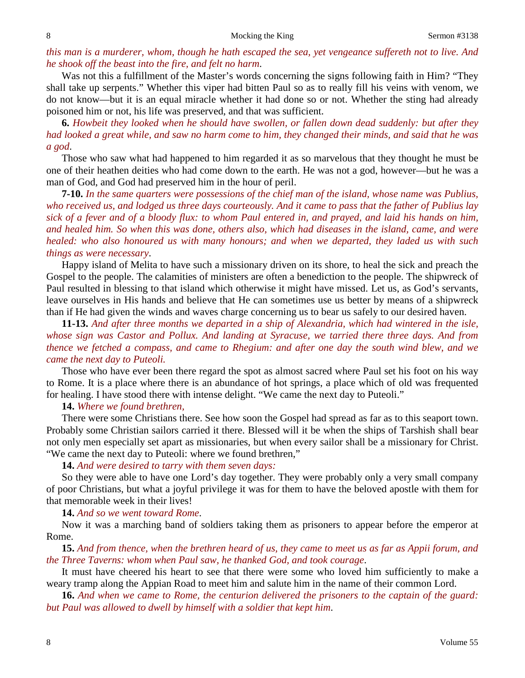*this man is a murderer, whom, though he hath escaped the sea, yet vengeance suffereth not to live. And he shook off the beast into the fire, and felt no harm*.

Was not this a fulfillment of the Master's words concerning the signs following faith in Him? "They shall take up serpents." Whether this viper had bitten Paul so as to really fill his veins with venom, we do not know—but it is an equal miracle whether it had done so or not. Whether the sting had already poisoned him or not, his life was preserved, and that was sufficient.

**6.** *Howbeit they looked when he should have swollen, or fallen down dead suddenly: but after they had looked a great while, and saw no harm come to him, they changed their minds, and said that he was a god*.

Those who saw what had happened to him regarded it as so marvelous that they thought he must be one of their heathen deities who had come down to the earth. He was not a god, however—but he was a man of God, and God had preserved him in the hour of peril.

**7-10.** *In the same quarters were possessions of the chief man of the island, whose name was Publius, who received us, and lodged us three days courteously. And it came to pass that the father of Publius lay sick of a fever and of a bloody flux: to whom Paul entered in, and prayed, and laid his hands on him, and healed him. So when this was done, others also, which had diseases in the island, came, and were healed: who also honoured us with many honours; and when we departed, they laded us with such things as were necessary*.

Happy island of Melita to have such a missionary driven on its shore, to heal the sick and preach the Gospel to the people. The calamities of ministers are often a benediction to the people. The shipwreck of Paul resulted in blessing to that island which otherwise it might have missed. Let us, as God's servants, leave ourselves in His hands and believe that He can sometimes use us better by means of a shipwreck than if He had given the winds and waves charge concerning us to bear us safely to our desired haven.

**11-13.** *And after three months we departed in a ship of Alexandria, which had wintered in the isle, whose sign was Castor and Pollux. And landing at Syracuse, we tarried there three days. And from thence we fetched a compass, and came to Rhegium: and after one day the south wind blew, and we came the next day to Puteoli.*

Those who have ever been there regard the spot as almost sacred where Paul set his foot on his way to Rome. It is a place where there is an abundance of hot springs, a place which of old was frequented for healing. I have stood there with intense delight. "We came the next day to Puteoli."

**14.** *Where we found brethren,*

There were some Christians there. See how soon the Gospel had spread as far as to this seaport town. Probably some Christian sailors carried it there. Blessed will it be when the ships of Tarshish shall bear not only men especially set apart as missionaries, but when every sailor shall be a missionary for Christ. "We came the next day to Puteoli: where we found brethren,"

#### **14.** *And were desired to tarry with them seven days:*

So they were able to have one Lord's day together. They were probably only a very small company of poor Christians, but what a joyful privilege it was for them to have the beloved apostle with them for that memorable week in their lives!

**14.** *And so we went toward Rome*.

Now it was a marching band of soldiers taking them as prisoners to appear before the emperor at Rome.

**15.** *And from thence, when the brethren heard of us, they came to meet us as far as Appii forum, and the Three Taverns: whom when Paul saw, he thanked God, and took courage*.

It must have cheered his heart to see that there were some who loved him sufficiently to make a weary tramp along the Appian Road to meet him and salute him in the name of their common Lord.

**16.** *And when we came to Rome, the centurion delivered the prisoners to the captain of the guard: but Paul was allowed to dwell by himself with a soldier that kept him*.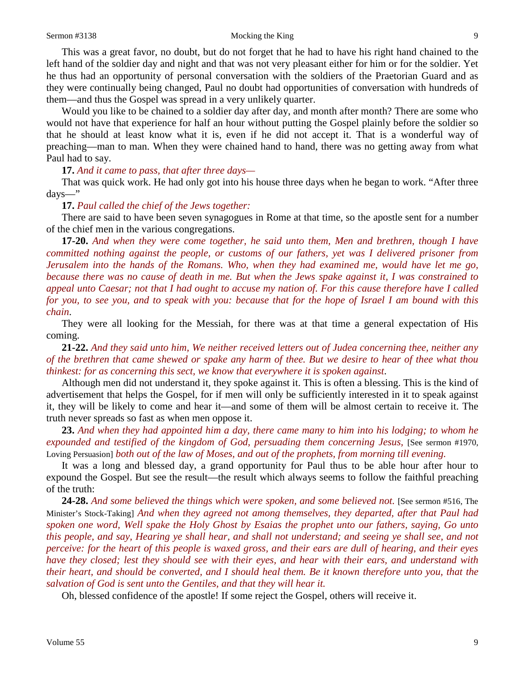#### Sermon #3138 Mocking the King 9

This was a great favor, no doubt, but do not forget that he had to have his right hand chained to the left hand of the soldier day and night and that was not very pleasant either for him or for the soldier. Yet he thus had an opportunity of personal conversation with the soldiers of the Praetorian Guard and as they were continually being changed, Paul no doubt had opportunities of conversation with hundreds of them—and thus the Gospel was spread in a very unlikely quarter.

Would you like to be chained to a soldier day after day, and month after month? There are some who would not have that experience for half an hour without putting the Gospel plainly before the soldier so that he should at least know what it is, even if he did not accept it. That is a wonderful way of preaching—man to man. When they were chained hand to hand, there was no getting away from what Paul had to say.

#### **17.** *And it came to pass, that after three days—*

That was quick work. He had only got into his house three days when he began to work. "After three days—"

#### **17.** *Paul called the chief of the Jews together:*

There are said to have been seven synagogues in Rome at that time, so the apostle sent for a number of the chief men in the various congregations.

**17-20.** *And when they were come together, he said unto them, Men and brethren, though I have committed nothing against the people, or customs of our fathers, yet was I delivered prisoner from Jerusalem into the hands of the Romans. Who, when they had examined me, would have let me go, because there was no cause of death in me. But when the Jews spake against it, I was constrained to appeal unto Caesar; not that I had ought to accuse my nation of. For this cause therefore have I called for you, to see you, and to speak with you: because that for the hope of Israel I am bound with this chain*.

They were all looking for the Messiah, for there was at that time a general expectation of His coming.

**21-22.** *And they said unto him, We neither received letters out of Judea concerning thee, neither any of the brethren that came shewed or spake any harm of thee. But we desire to hear of thee what thou thinkest: for as concerning this sect, we know that everywhere it is spoken against*.

Although men did not understand it, they spoke against it. This is often a blessing. This is the kind of advertisement that helps the Gospel, for if men will only be sufficiently interested in it to speak against it, they will be likely to come and hear it—and some of them will be almost certain to receive it. The truth never spreads so fast as when men oppose it.

**23.** *And when they had appointed him a day, there came many to him into his lodging; to whom he expounded and testified of the kingdom of God, persuading them concerning Jesus,* [See sermon #1970, Loving Persuasion] *both out of the law of Moses, and out of the prophets, from morning till evening.*

It was a long and blessed day, a grand opportunity for Paul thus to be able hour after hour to expound the Gospel. But see the result—the result which always seems to follow the faithful preaching of the truth:

**24-28.** *And some believed the things which were spoken, and some believed not.* [See sermon #516, The Minister's Stock-Taking] *And when they agreed not among themselves, they departed, after that Paul had spoken one word, Well spake the Holy Ghost by Esaias the prophet unto our fathers, saying, Go unto this people, and say, Hearing ye shall hear, and shall not understand; and seeing ye shall see, and not perceive: for the heart of this people is waxed gross, and their ears are dull of hearing, and their eyes have they closed; lest they should see with their eyes, and hear with their ears, and understand with their heart, and should be converted, and I should heal them. Be it known therefore unto you, that the salvation of God is sent unto the Gentiles, and that they will hear it.*

Oh, blessed confidence of the apostle! If some reject the Gospel, others will receive it.